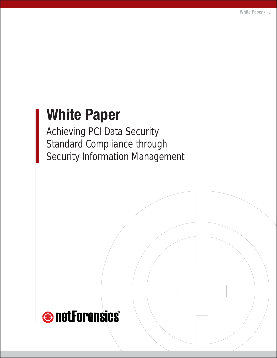# **White Paper**

Achieving PCI Data Security Standard Compliance through Security Information Management

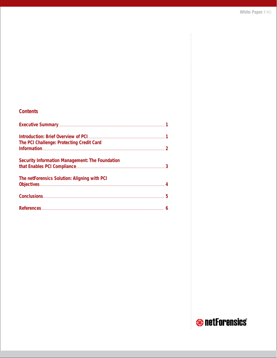## **Contents**

| The PCI Challenge: Protecting Credit Card              |  |
|--------------------------------------------------------|--|
| <b>Security Information Management: The Foundation</b> |  |
| The netForensics Solution: Aligning with PCI           |  |
|                                                        |  |
|                                                        |  |

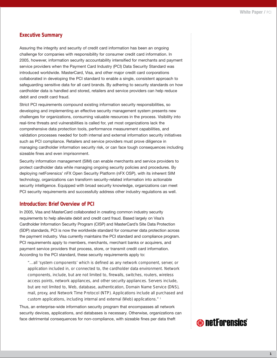## **Executive Summary**

Assuring the integrity and security of credit card information has been an ongoing challenge for companies with responsibility for consumer credit card information. In 2005, however, information security accountability intensified for merchants and payment service providers when the Payment Card Industry (PCI) Data Security Standard was introduced worldwide. MasterCard, Visa, and other major credit card corporations collaborated in developing the PCI standard to enable a single, consistent approach to safeguarding sensitive data for all card brands. By adhering to security standards on how cardholder data is handled and stored, retailers and service providers can help reduce debit and credit card fraud.

Strict PCI requirements compound existing information security responsibilities, so developing and implementing an effective security management system presents new challenges for organizations, consuming valuable resources in the process. Visibility into real-time threats and vulnerabilities is called for, yet most organizations lack the comprehensive data protection tools, performance measurement capabilities, and validation processes needed for both internal and external information security initiatives such as PCI compliance. Retailers and service providers must prove diligence in managing cardholder information security risk, or can face tough consequences including sizeable fines and even imprisonment.

Security information management (SIM) can enable merchants and service providers to protect cardholder data while managing ongoing security policies and procedures. By deploying netForensics' nFX Open Security Platform (nFX OSP), with its inherent SIM technology, organizations can transform security-related information into actionable security intelligence. Equipped with broad security knowledge, organizations can meet PCI security requirements and successfully address other industry regulations as well.

## **Introduction: Brief Overview of PCI**

In 2005, Visa and MasterCard collaborated in creating common industry security requirements to help alleviate debit and credit card fraud. Based largely on Visa's Cardholder Information Security Program (CISP) and MasterCard's Site Data Protection (SDP) standards, PCI is now the worldwide standard for consumer data protection across the payment industry. Visa currently maintains the PCI standard and compliance program. PCI requirements apply to members, merchants, merchant banks or acquirers, and payment service providers that process, store, or transmit credit card information. According to the PCI standard, these security requirements apply to:

*"…all 'system components' which is defined as any network component, server, or application included in, or connected to, the cardholder data environment. Network components, include, but are not limited to, firewalls, switches, routers, wireless access points, network appliances, and other security appliances. Servers include, but are not limited to, Web, database, authentication, Domain Name Service (DNS), mail, proxy, and Network Time Protocol (NTP). Applications include all purchased and custom applications, including internal and external (Web) applications." 1*

Thus, an enterprise-wide information security program that encompasses all network security devices, applications, and databases is necessary. Otherwise, organizations can face detrimental consequences for non-compliance, with sizeable fines per data theft

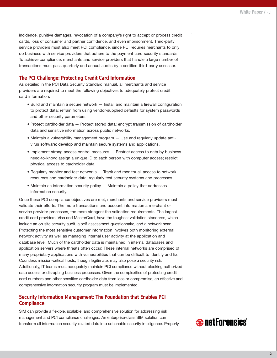incidence, punitive damages, revocation of a company's right to accept or process credit cards, loss of consumer and partner confidence, and even imprisonment. Third-party service providers must also meet PCI compliance, since PCI requires merchants to only do business with service providers that adhere to the payment card security standards. To achieve compliance, merchants and service providers that handle a large number of transactions must pass quarterly and annual audits by a certified third-party assessor.

## **The PCI Challenge: Protecting Credit Card Information**

As detailed in the PCI Data Security Standard manual, all merchants and service providers are required to meet the following objectives to adequately protect credit card information:

- Build and maintain a secure network Install and maintain a firewall configuration to protect data; refrain from using vendor-supplied defaults for system passwords and other security parameters.
- Protect cardholder data Protect stored data; encrypt transmission of cardholder data and sensitive information across public networks.
- Maintain a vulnerability management program Use and regularly update antivirus software; develop and maintain secure systems and applications.
- Implement strong access control measures Restrict access to data by business need-to-know; assign a unique ID to each person with computer access; restrict physical access to cardholder data.
- Regularly monitor and test networks Track and monitor all access to network resources and cardholder data; regularly test security systems and processes.
- Maintain an information security policy Maintain a policy that addresses information security.<sup>1</sup>

Once these PCI compliance objectives are met, merchants and service providers must validate their efforts. The more transactions and account information a merchant or service provider processes, the more stringent the validation requirements. The largest credit card providers, Visa and MasterCard, have the toughest validation standards, which include an on-site security audit, a self-assessment questionnaire, and a network scan. Protecting the most sensitive customer information involves both monitoring external network activity as well as managing internal user activity at the application and database level. Much of the cardholder data is maintained in internal databases and application servers where threats often occur. These internal networks are comprised of many proprietary applications with vulnerabilities that can be difficult to identify and fix. Countless mission-critical hosts, though legitimate, may also pose a security risk. Additionally, IT teams must adequately maintain PCI compliance without blocking authorized data access or disrupting business processes. Given the complexities of protecting credit card numbers and other sensitive cardholder data from loss or compromise, an effective and comprehensive information security program must be implemented.

## **Security Information Management: The Foundation that Enables PCI Compliance**

SIM can provide a flexible, scalable, and comprehensive solution for addressing risk management and PCI compliance challenges. An enterprise-class SIM solution can transform all information security-related data into actionable security intelligence. Properly

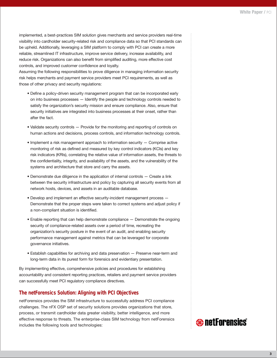implemented, a best-practices SIM solution gives merchants and service providers real-time visibility into cardholder security-related risk and compliance data so that PCI standards can be upheld. Additionally, leveraging a SIM platform to comply with PCI can create a more reliable, streamlined IT infrastructure, improve service delivery, increase availability, and reduce risk. Organizations can also benefit from simplified auditing, more effective cost controls, and improved customer confidence and loyalty.

Assuming the following responsibilities to prove diligence in managing information security risk helps merchants and payment service providers meet PCI requirements, as well as those of other privacy and security regulations:

- Define a policy-driven security management program that can be incorporated early on into business processes — Identify the people and technology controls needed to satisfy the organization's security mission and ensure compliance. Also, ensure that security initiatives are integrated into business processes at their onset, rather than after the fact.
- Validate security controls Provide for the monitoring and reporting of controls on human actions and decisions, process controls, and information technology controls.
- Implement a risk management approach to information security Comprise active monitoring of risk as defined and measured by key control indicators (KCIs) and key risk indicators (KRIs), correlating the relative value of information assets, the threats to the confidentiality, integrity, and availability of the assets, and the vulnerability of the systems and architecture that store and carry the assets.
- Demonstrate due diligence in the application of internal controls Create a link between the security infrastructure and policy by capturing all security events from all network hosts, devices, and assets in an auditable database.
- Develop and implement an effective security-incident management process Demonstrate that the proper steps were taken to correct systems and adjust policy if a non-compliant situation is identified.
- Enable reporting that can help demonstrate compliance Demonstrate the ongoing security of compliance-related assets over a period of time, recreating the organization's security posture in the event of an audit, and enabling security performance management against metrics that can be leveraged for corporate governance initiatives.
- Establish capabilities for archiving and data preservation Preserve near-term and long-term data in its purest form for forensics and evidentiary presentation.

By implementing effective, comprehensive policies and procedures for establishing accountability and consistent reporting practices, retailers and payment service providers can successfully meet PCI regulatory compliance directives.

## **The netForensics Solution: Aligning with PCI Objectives**

netForensics provides the SIM infrastructure to successfully address PCI compliance challenges. The nFX OSP set of security solutions provides organizations that store, process, or transmit cardholder data greater visibility, better intelligence, and more effective response to threats. The enterprise-class SIM technology from netForensics includes the following tools and technologies:

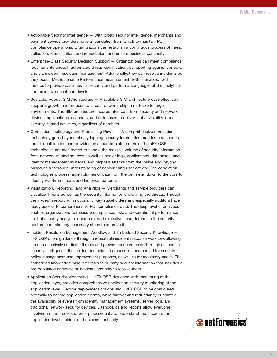- Actionable Security Intelligence With broad security intelligence, merchants and payment service providers have a foundation from which to maintain PCI compliance operations. Organizations can establish a continuous process of threat collection, identification, and remediation, and ensure business continuity.
- Enterprise-Class Security Decision Support Organizations can meet compliance requirements through automated threat identification, by reporting against controls, and via incident resolution management. Additionally, they can resolve incidents as they occur. Metrics enable Performance measurement, with is enabled, with metrics to provide baselines for security and performance gauges at the analytical and executive dashboard levels.
- Scalable, Robust SIM Architecture A scalable SIM architecture cost-effectively supports growth and reduces total cost of ownership in mid-size to large environments. The SIM architecture incorporates data from security and network devices, applications, scanners, and databases to deliver global visibility into all security-related activities, regardless of numbers.
- Correlation Technology and Processing Power A comprehensive correlation technology goes beyond simply logging security information, and instead speeds threat identification and provides an accurate picture of risk. The nFX OSP technologies are architected to handle the massive volume of security information from network-related sources as well as server logs, applications, databases, and identity management systems, and pinpoint attacks from the inside and beyond based on a thorough understanding of network and user activity. The correlation technologies process large volumes of data from the perimeter down to the core to identify real-time threats and historical patterns.
- Visualization, Reporting, and Analytics Merchants and service providers can visualize threats as well as the security information underlying the threats. Through the in-depth reporting functionality, key stakeholders and especially auditors have ready access to comprehensive PCI compliance data. The deep level of analytics enables organizations to measure compliance, risk, and operational performance so that security analysts, operators, and executives can determine the security posture and take any necessary steps to improve it.
- Incident Resolution Management Workflow and Embedded Security Knowledge nFX OSP offers guidance through a repeatable incident response workflow, allowing firms to effectively eradicate threats and prevent reoccurrences. Through actionable security intelligence, the incident remediation process is documented for security policy management and improvement purposes, as well as for regulatory audits. The embedded knowledge base integrates third-party security information that includes a pre-populated database of incidents and how to resolve them.
- Application Security Monitoring nFX OSP, designed with monitoring at the application layer, provides comprehensive application security monitoring at the application layer. Flexible deployment options allow nFX OSP to be configured optimally to handle application events, while failover and redundancy guarantee the availability of events from identity management systems, server logs, and traditional network security devices. Dashboards and reports allow everyone involved in the process of enterprise security to understand the impact of an application-level incident on business continuity.



**4**